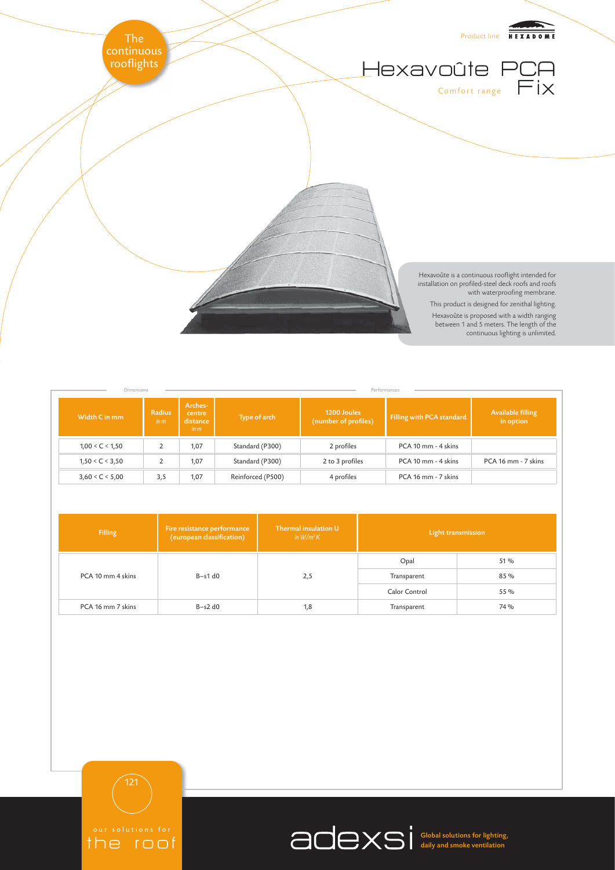

Hexavoûte is proposed with a width ranging between 1 and 5 meters. The length of the continuous lighting is unlimited.

| <b>Dimensions</b>       |                    |                                       | Performances      |                                     |                           |                                |  |
|-------------------------|--------------------|---------------------------------------|-------------------|-------------------------------------|---------------------------|--------------------------------|--|
| Width C in mm           | Radius<br>$\lim$ m | Arches-<br>centre<br>distance<br>in m | Type of arch      | 1200 Joules<br>(number of profiles) | Filling with PCA standard | Available filling<br>in option |  |
| $1,00 \leq C \leq 1,50$ |                    | 1,07                                  | Standard (P300)   | 2 profiles                          | PCA 10 mm - 4 skins       |                                |  |
| 1,50 < C < 3,50         |                    | 1,07                                  | Standard (P300)   | 2 to 3 profiles                     | PCA 10 mm - 4 skins       | PCA 16 mm - 7 skins            |  |
| 3,60 < C < 5,00         | 3,5                | 1,07                                  | Reinforced (P500) | 4 profiles                          | PCA 16 mm - 7 skins       |                                |  |

| <b>Filling</b>    | Fire resistance performance<br>(european classification) | Thermal insulation U<br>in $W/m^2K$ | Light transmission |      |
|-------------------|----------------------------------------------------------|-------------------------------------|--------------------|------|
|                   |                                                          | 2,5                                 | Opal               | 51 % |
| PCA 10 mm 4 skins | $B-s1d0$                                                 |                                     | Transparent        | 85 % |
|                   |                                                          |                                     | Calor Control      | 55 % |
| PCA 16 mm 7 skins | $B-s2d0$                                                 | 1,8                                 | Transparent        | 74 % |

121

the roof

Global solutions for lighting, daily and smoke ventilation